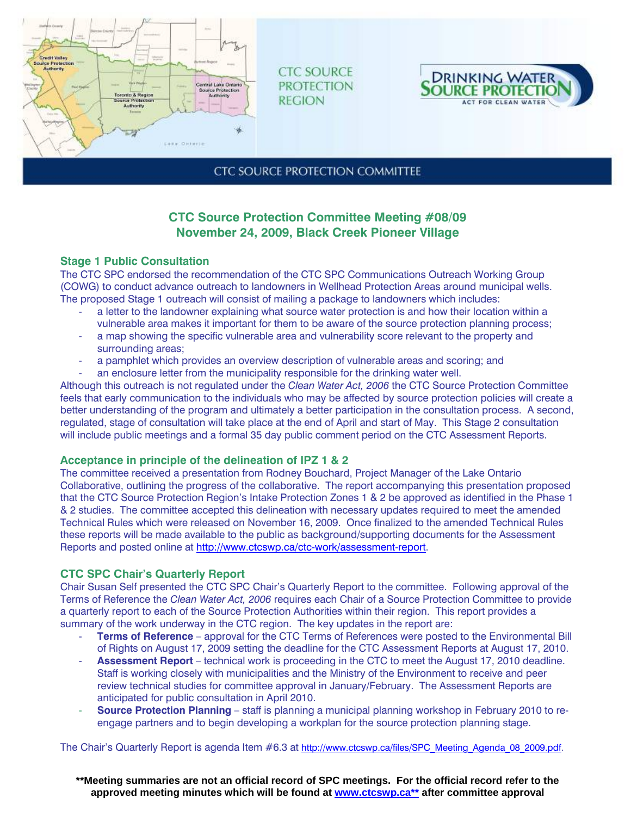

**CTC SOURCE PROTECTION REGION** 



# **CTC SOURCE PROTECTION COMMITTEE**

# **CTC Source Protection Committee Meeting #08/09 November 24, 2009, Black Creek Pioneer Village**

## **Stage 1 Public Consultation**

The CTC SPC endorsed the recommendation of the CTC SPC Communications Outreach Working Group (COWG) to conduct advance outreach to landowners in Wellhead Protection Areas around municipal wells. The proposed Stage 1 outreach will consist of mailing a package to landowners which includes:

- a letter to the landowner explaining what source water protection is and how their location within a vulnerable area makes it important for them to be aware of the source protection planning process;
- a map showing the specific vulnerable area and vulnerability score relevant to the property and surrounding areas;
- a pamphlet which provides an overview description of vulnerable areas and scoring; and
- an enclosure letter from the municipality responsible for the drinking water well.

Although this outreach is not regulated under the *Clean Water Act, 2006* the CTC Source Protection Committee feels that early communication to the individuals who may be affected by source protection policies will create a better understanding of the program and ultimately a better participation in the consultation process. A second, regulated, stage of consultation will take place at the end of April and start of May. This Stage 2 consultation will include public meetings and a formal 35 day public comment period on the CTC Assessment Reports.

## **Acceptance in principle of the delineation of IPZ 1 & 2**

The committee received a presentation from Rodney Bouchard, Project Manager of the Lake Ontario Collaborative, outlining the progress of the collaborative. The report accompanying this presentation proposed that the CTC Source Protection Region's Intake Protection Zones 1 & 2 be approved as identified in the Phase 1 & 2 studies. The committee accepted this delineation with necessary updates required to meet the amended Technical Rules which were released on November 16, 2009. Once finalized to the amended Technical Rules these reports will be made available to the public as background/supporting documents for the Assessment Reports and posted online at http://www.ctcswp.ca/ctc-work/assessment-report.

## **CTC SPC Chair's Quarterly Report**

Chair Susan Self presented the CTC SPC Chair's Quarterly Report to the committee. Following approval of the Terms of Reference the *Clean Water Act, 2006* requires each Chair of a Source Protection Committee to provide a quarterly report to each of the Source Protection Authorities within their region. This report provides a summary of the work underway in the CTC region. The key updates in the report are:

- **Terms of Reference** approval for the CTC Terms of References were posted to the Environmental Bill of Rights on August 17, 2009 setting the deadline for the CTC Assessment Reports at August 17, 2010.
- **Assessment Report** technical work is proceeding in the CTC to meet the August 17, 2010 deadline. Staff is working closely with municipalities and the Ministry of the Environment to receive and peer review technical studies for committee approval in January/February. The Assessment Reports are anticipated for public consultation in April 2010.
- **Source Protection Planning** staff is planning a municipal planning workshop in February 2010 to reengage partners and to begin developing a workplan for the source protection planning stage.

The Chair's Quarterly Report is agenda Item #6.3 at http://www.ctcswp.ca/files/SPC\_Meeting\_Agenda\_08\_2009.pdf.

**\*\*Meeting summaries are not an official record of SPC meetings. For the official record refer to the approved meeting minutes which will be found at www.ctcswp.ca\*\* after committee approval**